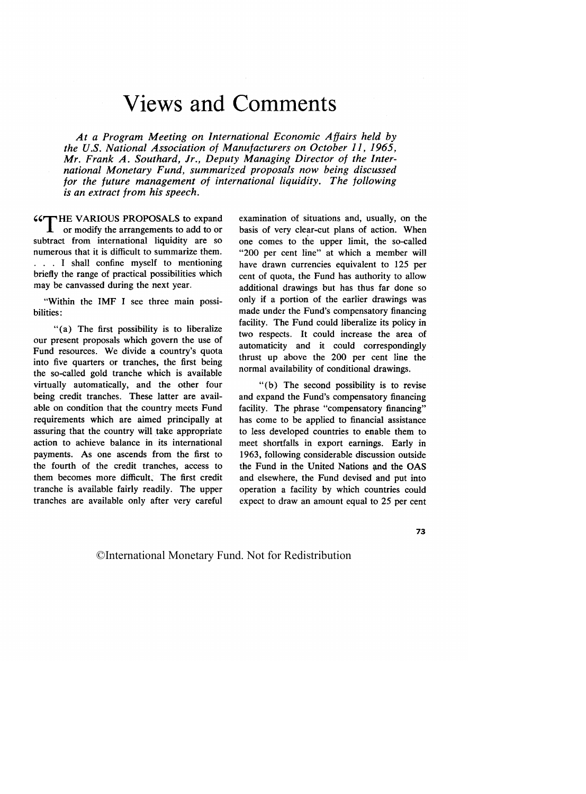## [Views and Comments](#page--1-0)

*At a Program Meeting on International Economic Affairs held by the U.S. National Association of Manufacturers on October 11, 1965, Mr. Frank A. Southard, Jr., Deputy Managing Director of the International Monetary Fund, summarized proposals now being discussed for the future management of international liquidity. The following is an extract from his speech.*

**CCT HE VARIOUS PROPOSALS** to expand  $\mathbf{\mathbf{I}}$  or modify the arrangements to add to or subtract from international liquidity are so numerous that it is difficult to summarize them. . . . I shall confine myself to mentioning briefly the range of practical possibilities which may be canvassed during the next year.

"Within the IMF I see three main possibilities:

"(a) The first possibility is to liberalize our present proposals which govern the use of Fund resources. We divide a country's quota into five quarters or tranches, the first being the so-called gold tranche which is available virtually automatically, and the other four being credit tranches. These latter are available on condition that the country meets Fund requirements which are aimed principally at assuring that the country will take appropriate action to achieve balance in its international payments. As one ascends from the first to the fourth of the credit tranches, access to them becomes more difficult. The first credit tranche is available fairly readily. The upper tranches are available only after very careful examination of situations and, usually, on the basis of very clear-cut plans of action. When one comes to the upper limit, the so-called "200 per cent line" at which a member will have drawn currencies equivalent to 125 per cent of quota, the Fund has authority to allow additional drawings but has thus far done so only if a portion of the earlier drawings was made under the Fund's compensatory financing facility. The Fund could liberalize its policy in two respects. It could increase the area of automaticity and it could correspondingly thrust up above the 200 per cent line the normal availability of conditional drawings.

"(b) The second possibility is to revise and expand the Fund's compensatory financing facility. The phrase "compensatory financing" has come to be applied to financial assistance to less developed countries to enable them to meet shortfalls in export earnings. Early in 1963, following considerable discussion outside the Fund in the United Nations and the OAS and elsewhere, the Fund devised and put into operation a facility by which countries could expect to draw an amount equal to 25 per cent